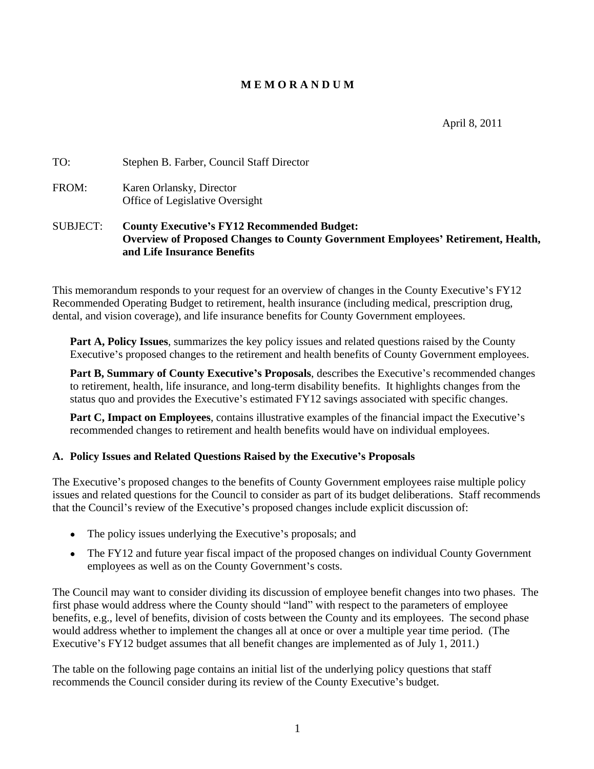# **M E M O R A N D U M**

April 8, 2011

| TO:         | Stephen B. Farber, Council Staff Director |  |
|-------------|-------------------------------------------|--|
| <b>FROM</b> | Karen Orlansky, Director                  |  |
|             | Office of Legislative Oversight           |  |

# SUBJECT: **County Executive s FY12 Recommended Budget: Overview of Proposed Changes to County Government Employees Retirement, Health, and Life Insurance Benefits**

This memorandum responds to your request for an overview of changes in the County Executive's FY12 Recommended Operating Budget to retirement, health insurance (including medical, prescription drug, dental, and vision coverage), and life insurance benefits for County Government employees.

**Part A, Policy Issues**, summarizes the key policy issues and related questions raised by the County Executive's proposed changes to the retirement and health benefits of County Government employees.

**Part B, Summary of County Executive's Proposals, describes the Executive's recommended changes** to retirement, health, life insurance, and long-term disability benefits. It highlights changes from the status quo and provides the Executive's estimated FY12 savings associated with specific changes.

**Part C, Impact on Employees**, contains illustrative examples of the financial impact the Executive's recommended changes to retirement and health benefits would have on individual employees.

#### **A. Policy Issues and Related Questions Raised by the Executive s Proposals**

The Executive's proposed changes to the benefits of County Government employees raise multiple policy issues and related questions for the Council to consider as part of its budget deliberations. Staff recommends that the Council's review of the Executive's proposed changes include explicit discussion of:

- $\bullet$  The policy issues underlying the Executive's proposals; and
- The FY12 and future year fiscal impact of the proposed changes on individual County Government employees as well as on the County Government's costs.

The Council may want to consider dividing its discussion of employee benefit changes into two phases. The first phase would address where the County should "land" with respect to the parameters of employee benefits, e.g., level of benefits, division of costs between the County and its employees. The second phase would address whether to implement the changes all at once or over a multiple year time period. (The Executive's FY12 budget assumes that all benefit changes are implemented as of July 1, 2011.)

The table on the following page contains an initial list of the underlying policy questions that staff recommends the Council consider during its review of the County Executive's budget.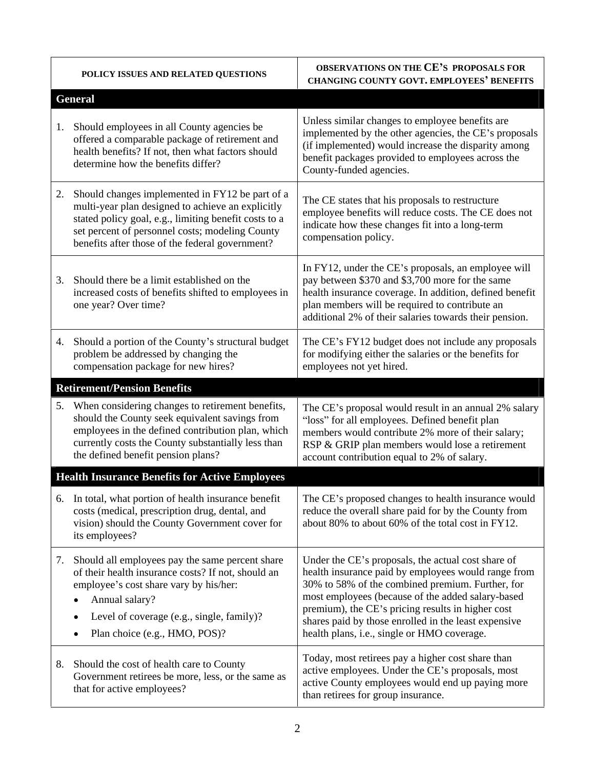| POLICY ISSUES AND RELATED QUESTIONS                                                                                                                                                                                                                                 | OBSERVATIONS ON THE CE'S PROPOSALS FOR<br><b>CHANGING COUNTY GOVT. EMPLOYEES' BENEFITS</b>                                                                                                                                                                                                                                                                                     |
|---------------------------------------------------------------------------------------------------------------------------------------------------------------------------------------------------------------------------------------------------------------------|--------------------------------------------------------------------------------------------------------------------------------------------------------------------------------------------------------------------------------------------------------------------------------------------------------------------------------------------------------------------------------|
| <b>General</b>                                                                                                                                                                                                                                                      |                                                                                                                                                                                                                                                                                                                                                                                |
| Should employees in all County agencies be<br>offered a comparable package of retirement and<br>health benefits? If not, then what factors should<br>determine how the benefits differ?                                                                             | Unless similar changes to employee benefits are<br>implemented by the other agencies, the CE's proposals<br>(if implemented) would increase the disparity among<br>benefit packages provided to employees across the<br>County-funded agencies.                                                                                                                                |
| Should changes implemented in FY12 be part of a<br>multi-year plan designed to achieve an explicitly<br>stated policy goal, e.g., limiting benefit costs to a<br>set percent of personnel costs; modeling County<br>benefits after those of the federal government? | The CE states that his proposals to restructure<br>employee benefits will reduce costs. The CE does not<br>indicate how these changes fit into a long-term<br>compensation policy.                                                                                                                                                                                             |
| Should there be a limit established on the<br>increased costs of benefits shifted to employees in<br>one year? Over time?                                                                                                                                           | In FY12, under the CE's proposals, an employee will<br>pay between \$370 and \$3,700 more for the same<br>health insurance coverage. In addition, defined benefit<br>plan members will be required to contribute an<br>additional 2% of their salaries towards their pension.                                                                                                  |
| Should a portion of the County's structural budget<br>problem be addressed by changing the<br>compensation package for new hires?                                                                                                                                   | The CE's FY12 budget does not include any proposals<br>for modifying either the salaries or the benefits for<br>employees not yet hired.                                                                                                                                                                                                                                       |
| <b>Retirement/Pension Benefits</b>                                                                                                                                                                                                                                  |                                                                                                                                                                                                                                                                                                                                                                                |
| When considering changes to retirement benefits,<br>should the County seek equivalent savings from<br>employees in the defined contribution plan, which<br>currently costs the County substantially less than<br>the defined benefit pension plans?                 | The CE's proposal would result in an annual 2% salary<br>"loss" for all employees. Defined benefit plan<br>members would contribute 2% more of their salary;<br>RSP & GRIP plan members would lose a retirement<br>account contribution equal to 2% of salary.                                                                                                                 |
| <b>Health Insurance Benefits for Active Employees</b>                                                                                                                                                                                                               |                                                                                                                                                                                                                                                                                                                                                                                |
| In total, what portion of health insurance benefit<br>costs (medical, prescription drug, dental, and<br>vision) should the County Government cover for<br>its employees?                                                                                            | The CE's proposed changes to health insurance would<br>reduce the overall share paid for by the County from<br>about 80% to about 60% of the total cost in FY12.                                                                                                                                                                                                               |
| Should all employees pay the same percent share<br>of their health insurance costs? If not, should an<br>employee's cost share vary by his/her:<br>$\bullet$ Annual salary?<br>• Level of coverage (e.g., single, family)?<br>• Plan choice (e.g., HMO, POS)?       | Under the CE's proposals, the actual cost share of<br>health insurance paid by employees would range from<br>30% to 58% of the combined premium. Further, for<br>most employees (because of the added salary-based<br>premium), the CE's pricing results in higher cost<br>shares paid by those enrolled in the least expensive<br>health plans, i.e., single or HMO coverage. |
| Should the cost of health care to County<br>Government retirees be more, less, or the same as<br>that for active employees?                                                                                                                                         | Today, most retirees pay a higher cost share than<br>active employees. Under the CE's proposals, most<br>active County employees would end up paying more<br>than retirees for group insurance.                                                                                                                                                                                |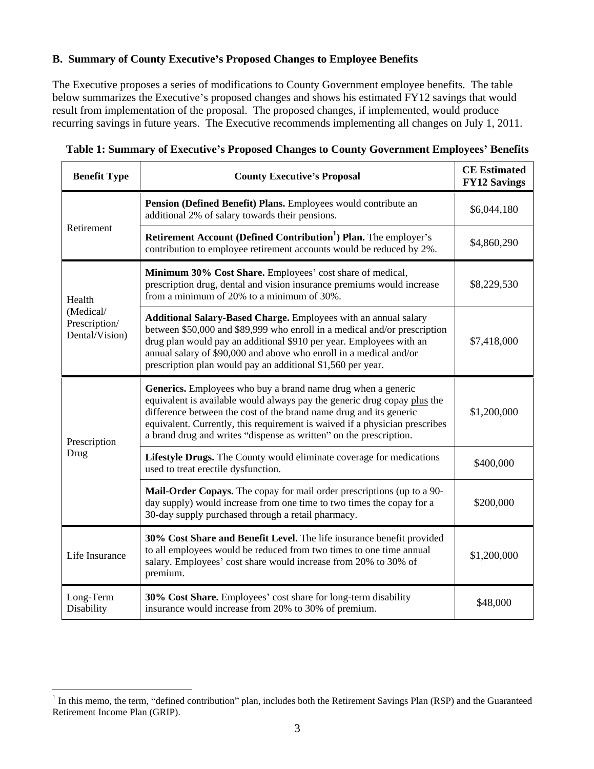### **B. Summary of County Executive s Proposed Changes to Employee Benefits**

The Executive proposes a series of modifications to County Government employee benefits. The table below summarizes the Executive's proposed changes and shows his estimated FY12 savings that would result from implementation of the proposal. The proposed changes, if implemented, would produce recurring savings in future years. The Executive recommends implementing all changes on July 1, 2011.

| <b>Benefit Type</b>                          | <b>County Executive's Proposal</b>                                                                                                                                                                                                                                                                                                                                         | <b>CE</b> Estimated<br><b>FY12 Savings</b> |
|----------------------------------------------|----------------------------------------------------------------------------------------------------------------------------------------------------------------------------------------------------------------------------------------------------------------------------------------------------------------------------------------------------------------------------|--------------------------------------------|
|                                              | <b>Pension (Defined Benefit) Plans.</b> Employees would contribute an<br>additional 2% of salary towards their pensions.                                                                                                                                                                                                                                                   | \$6,044,180                                |
| Retirement                                   | <b>Retirement Account (Defined Contribution<sup>1</sup>) Plan.</b> The employer's<br>contribution to employee retirement accounts would be reduced by 2%.                                                                                                                                                                                                                  | \$4,860,290                                |
| Health                                       | Minimum 30% Cost Share. Employees' cost share of medical,<br>prescription drug, dental and vision insurance premiums would increase<br>from a minimum of 20% to a minimum of 30%.                                                                                                                                                                                          | \$8,229,530                                |
| (Medical/<br>Prescription/<br>Dental/Vision) | Additional Salary-Based Charge. Employees with an annual salary<br>between \$50,000 and \$89,999 who enroll in a medical and/or prescription<br>drug plan would pay an additional \$910 per year. Employees with an<br>annual salary of \$90,000 and above who enroll in a medical and/or<br>prescription plan would pay an additional \$1,560 per year.                   | \$7,418,000                                |
| Prescription                                 | <b>Generics.</b> Employees who buy a brand name drug when a generic<br>equivalent is available would always pay the generic drug copay plus the<br>difference between the cost of the brand name drug and its generic<br>equivalent. Currently, this requirement is waived if a physician prescribes<br>a brand drug and writes "dispense as written" on the prescription. | \$1,200,000                                |
| Drug                                         | <b>Lifestyle Drugs.</b> The County would eliminate coverage for medications<br>used to treat erectile dysfunction.                                                                                                                                                                                                                                                         | \$400,000                                  |
|                                              | Mail-Order Copays. The copay for mail order prescriptions (up to a 90-<br>day supply) would increase from one time to two times the copay for a<br>30-day supply purchased through a retail pharmacy.                                                                                                                                                                      | \$200,000                                  |
| Life Insurance                               | 30% Cost Share and Benefit Level. The life insurance benefit provided<br>to all employees would be reduced from two times to one time annual<br>salary. Employees' cost share would increase from 20% to 30% of<br>premium.                                                                                                                                                | \$1,200,000                                |
| Long-Term<br>Disability                      | 30% Cost Share. Employees' cost share for long-term disability<br>insurance would increase from 20% to 30% of premium.                                                                                                                                                                                                                                                     | \$48,000                                   |

| Table 1: Summary of<br>s Proposed Changes to County Govern<br>' Benefits<br>7 Executive's !<br>Government Employees' |
|----------------------------------------------------------------------------------------------------------------------|
|----------------------------------------------------------------------------------------------------------------------|

<sup>&</sup>lt;sup>1</sup> In this memo, the term, "defined contribution" plan, includes both the Retirement Savings Plan (RSP) and the Guaranteed Retirement Income Plan (GRIP).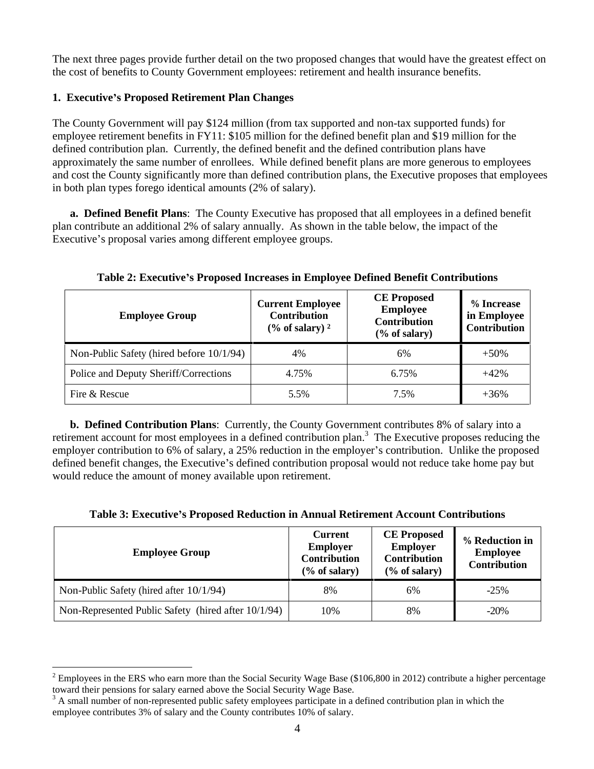The next three pages provide further detail on the two proposed changes that would have the greatest effect on the cost of benefits to County Government employees: retirement and health insurance benefits.

### **1. Executive s Proposed Retirement Plan Changes**

The County Government will pay \$124 million (from tax supported and non-tax supported funds) for employee retirement benefits in FY11: \$105 million for the defined benefit plan and \$19 million for the defined contribution plan. Currently, the defined benefit and the defined contribution plans have approximately the same number of enrollees. While defined benefit plans are more generous to employees and cost the County significantly more than defined contribution plans, the Executive proposes that employees in both plan types forego identical amounts (2% of salary).

**a. Defined Benefit Plans**: The County Executive has proposed that all employees in a defined benefit plan contribute an additional 2% of salary annually. As shown in the table below, the impact of the Executive's proposal varies among different employee groups.

| <b>Employee Group</b>                       | <b>Current Employee</b><br>Contribution<br>$(\%$ of salary) <sup>2</sup> | <b>CE Proposed</b><br>Employee<br>Contribution<br>(% of salary) | % Increase<br>in Employee<br><b>Contribution</b> |
|---------------------------------------------|--------------------------------------------------------------------------|-----------------------------------------------------------------|--------------------------------------------------|
| Non-Public Safety (hired before $10/1/94$ ) | 4%                                                                       | 60/                                                             | $+50%$                                           |
|                                             |                                                                          |                                                                 |                                                  |
| Police and Deputy Sheriff/Corrections       | 4.75%                                                                    | 0.75%                                                           | $+42%$                                           |
| Fire & Rescue                               | 5.5%                                                                     | 7.5%<br>$\sim$                                                  | $+36%$                                           |

**Table 2: Executive s Proposed Increases in Employee Defined Benefit Contributions**

**b. Defined Contribution Plans**: Currently, the County Government contributes 8% of salary into a retirement account for most employees in a defined contribution plan.<sup>3</sup> The Executive proposes reducing the employer contribution to 6% of salary, a 25% reduction in the employer's contribution. Unlike the proposed defined benefit changes, the Executive's defined contribution proposal would not reduce take home pay but would reduce the amount of money available upon retirement.

| Table 3: Executive's Proposed Reduction in Annual Retirement Account Con<br>Contributions |  |
|-------------------------------------------------------------------------------------------|--|
|                                                                                           |  |

| <b>Employee Group</b>                               | Employer<br>Contribution<br>$(\%$ of salary) | Employer<br>Contribution<br>$(\%$ of salary) | <b>EXECUTE CONSECUTE:</b> The CE Proposed (%) Reduction in (1)<br>Employee<br>Contribution |
|-----------------------------------------------------|----------------------------------------------|----------------------------------------------|--------------------------------------------------------------------------------------------|
|                                                     |                                              |                                              |                                                                                            |
| Non-Public Safety (hired after 10/1/94)             |                                              |                                              |                                                                                            |
| Non-Represented Public Safety (hired after 10/1/94) | 100'                                         |                                              | $\Omega$<br>$-20/6$                                                                        |

 $2$  Employees in the ERS who earn more than the Social Security Wage Base (\$106,800 in 2012) contribute a higher percentage toward their pensions for salary earned above the Social Security Wage Base.

toward their pensions for salary earned above the Social Security Wage Base.<br><sup>3</sup> A small number of non-represented public safety employees participate in a defined contribution plan in which the employee contributes 3% of salary and the County contributes 10% of salary.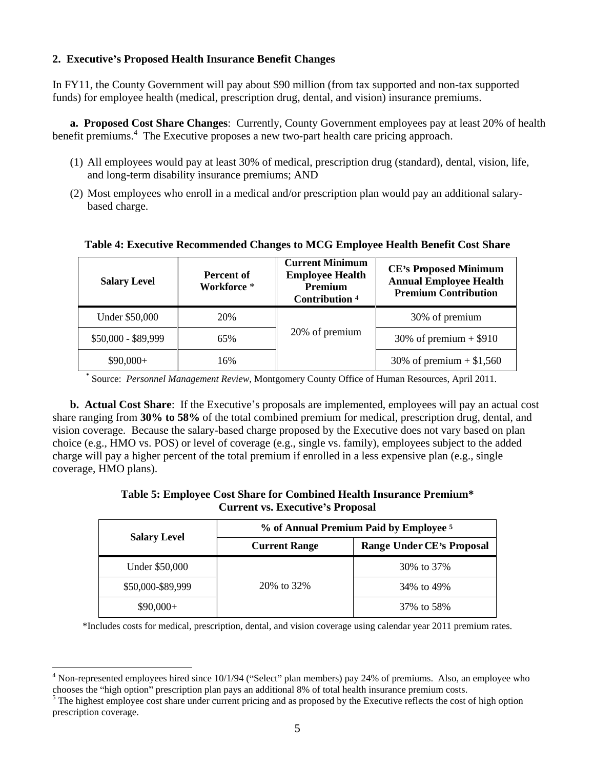#### **2. Executive s Proposed Health Insurance Benefit Changes**

In FY11, the County Government will pay about \$90 million (from tax supported and non-tax supported funds) for employee health (medical, prescription drug, dental, and vision) insurance premiums.

**a. Proposed Cost Share Changes**: Currently, County Government employees pay at least 20% of health benefit premiums.<sup>4</sup> The Executive proposes a new two-part health care pricing approach.

- (1) All employees would pay at least 30% of medical, prescription drug (standard), dental, vision, life, and long-term disability insurance premiums; AND
- (2) Most employees who enroll in a medical and/or prescription plan would pay an additional salary based charge.

| <b>Salary Level</b>   | <b>Percent of</b><br><b>Workforce</b> | <b>Current Minimum</b><br><b>Employee Health</b><br>Premiu<br>Contribution <sup>4</sup> | <b>CE's Proposed Minimum</b><br><b>Annual Employee Health</b><br><b>Premium Contribution</b> |
|-----------------------|---------------------------------------|-----------------------------------------------------------------------------------------|----------------------------------------------------------------------------------------------|
|                       | 20%                                   |                                                                                         | 30% of premium                                                                               |
| <b>Under \$50,000</b> |                                       |                                                                                         |                                                                                              |
| \$50,000 - \$89,999   | $\sim$ $\sim$ $\sim$ $\sim$           | 20% of premium                                                                          | 30% of premium $+$ \$910                                                                     |
| $$90,000+$            | 10%                                   |                                                                                         | 30% of premium $+ $1,560$                                                                    |

#### **Table 4: Executive Recommended Changes to MCG Employee Health Benefit Cost Share**

**\*** Source: *Personnel Management Review*, Montgomery County Office of Human Resources, April 2011.

**b. Actual Cost Share**: If the Executive's proposals are implemented, employees will pay an actual cost share ranging from **30% to 58%** of the total combined premium for medical, prescription drug, dental, and vision coverage. Because the salary-based charge proposed by the Executive does not vary based on plan choice (e.g., HMO vs. POS) or level of coverage (e.g., single vs. family), employees subject to the added charge will pay a higher percent of the total premium if enrolled in a less expensive plan (e.g., single coverage, HMO plans).

#### **Table 5: Employee Cost Share for Combined Health Insurance Premium\* Current vs. Executive s Proposal**

| <b>Salary Level</b> | % of Annual Premium Paid by Employee 5 |                           |  |  |
|---------------------|----------------------------------------|---------------------------|--|--|
|                     | <b>Current Range</b>                   | Range Under CE's Proposal |  |  |
| Under \$50,000      |                                        | 30% to 37%                |  |  |
| \$50,000-\$89,999   | 20% to 32%                             | 34% to 49%                |  |  |
| \$90,000+           |                                        | 37% to 58%                |  |  |

\*Includes costs for medical, prescription, dental, and vision coverage using calendar year 2011 premium rates.

<sup>&</sup>lt;sup>4</sup> Non-represented employees hired since 10/1/94 ("Select" plan members) pay 24% of premiums. Also, an employee who chooses the "high option" prescription plan pays an additional 8% of total health insurance premium costs.

 $<sup>5</sup>$  The highest employee cost share under current pricing and as proposed by the Executive reflects the cost of high option</sup> prescription coverage.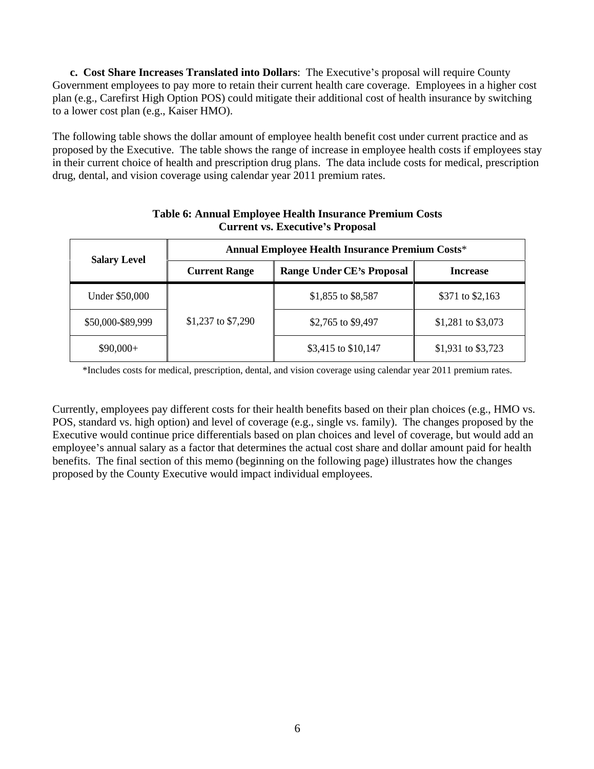**c. Cost Share Increases Translated into Dollars**: The Executive's proposal will require County Government employees to pay more to retain their current health care coverage. Employees in a higher cost plan (e.g., Carefirst High Option POS) could mitigate their additional cost of health insurance by switching to a lower cost plan (e.g., Kaiser HMO).

The following table shows the dollar amount of employee health benefit cost under current practice and as proposed by the Executive. The table shows the range of increase in employee health costs if employees stay in their current choice of health and prescription drug plans. The data include costs for medical, prescription drug, dental, and vision coverage using calendar year 2011 premium rates.

| <b>Salary Level</b>   |                      | <b>Annual Employee Health Insurance Premium Costs*</b> |                    |  |
|-----------------------|----------------------|--------------------------------------------------------|--------------------|--|
|                       | <b>Current Range</b> | Range Under CE's Proposal                              | <b>Increase</b>    |  |
| <b>Under \$50,000</b> |                      | \$1,855 to \$8,587                                     | \$371 to \$2,163   |  |
| \$50,000-\$89,999     | \$1,237 to \$7,290   | \$2,765 to \$9,497                                     | \$1,281 to \$3,073 |  |
| \$90,000+             |                      | \$3,415 to \$10,147                                    | \$1,931 to \$3,723 |  |

### **Table 6: Annual Employee Health Insurance Premium Costs Current vs. Executive s Proposal**

\*Includes costs for medical, prescription, dental, and vision coverage using calendar year 2011 premium rates.

Currently, employees pay different costs for their health benefits based on their plan choices (e.g., HMO vs. POS, standard vs. high option) and level of coverage (e.g., single vs. family). The changes proposed by the Executive would continue price differentials based on plan choices and level of coverage, but would add an employee's annual salary as a factor that determines the actual cost share and dollar amount paid for health benefits. The final section of this memo (beginning on the following page) illustrates how the changes proposed by the County Executive would impact individual employees.